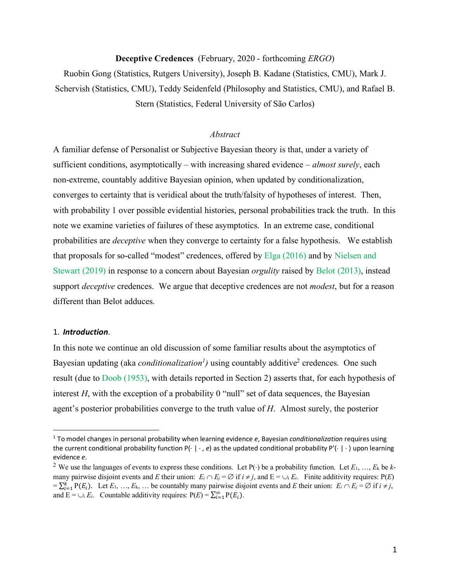### **Deceptive Credences** (February, 2020 - forthcoming *ERGO*)

Ruobin Gong (Statistics, Rutgers University), Joseph B. Kadane (Statistics, CMU), Mark J. Schervish (Statistics, CMU), Teddy Seidenfeld (Philosophy and Statistics, CMU), and Rafael B. Stern (Statistics, Federal University of São Carlos)

### *Abstract*

A familiar defense of Personalist or Subjective Bayesian theory is that, under a variety of sufficient conditions, asymptotically – with increasing shared evidence – *almost surely*, each non-extreme, countably additive Bayesian opinion, when updated by conditionalization, converges to certainty that is veridical about the truth/falsity of hypotheses of interest. Then, with probability 1 over possible evidential histories, personal probabilities track the truth. In this note we examine varieties of failures of these asymptotics. In an extreme case, conditional probabilities are *deceptive* when they converge to certainty for a false hypothesis. We establish that proposals for so-called "modest" credences, offered by Elga (2016) and by Nielsen and Stewart (2019) in response to a concern about Bayesian *orgulity* raised by Belot (2013), instead support *deceptive* credences. We argue that deceptive credences are not *modest*, but for a reason different than Belot adduces.

### 1. *Introduction*.

<u>.</u>

In this note we continue an old discussion of some familiar results about the asymptotics of Bayesian updating (aka *conditionalization<sup>1</sup>*) using countably additive<sup>2</sup> credences. One such result (due to Doob (1953), with details reported in Section 2) asserts that, for each hypothesis of interest  $H$ , with the exception of a probability 0 "null" set of data sequences, the Bayesian agent's posterior probabilities converge to the truth value of *H*. Almost surely, the posterior

<sup>1</sup> To model changes in personal probability when learning evidence *e*, Bayesian *conditionalization* requires using the current conditional probability function  $P(\cdot \mid \cdot, e)$  as the updated conditional probability  $P'(\cdot \mid \cdot)$  upon learning evidence *e*.

<sup>&</sup>lt;sup>2</sup> We use the languages of events to express these conditions. Let  $P(\cdot)$  be a probability function. Let  $E_1, ..., E_k$  be  $k$ many pairwise disjoint events and *E* their union:  $E_i \cap E_j = \emptyset$  if  $i \neq j$ , and  $E = \bigcup_i E_i$ . Finite additivity requires:  $P(E)$  $=\sum_{i=1}^{k} P(E_i)$ . Let  $E_1, ..., E_k, ...$  be countably many pairwise disjoint events and *E* their union:  $E_i \cap E_j = \emptyset$  if  $i \neq j$ , and  $E = \bigcup_i E_i$ . Countable additivity requires:  $P(E) = \sum_{i=1}^{\infty} P(E_i)$ .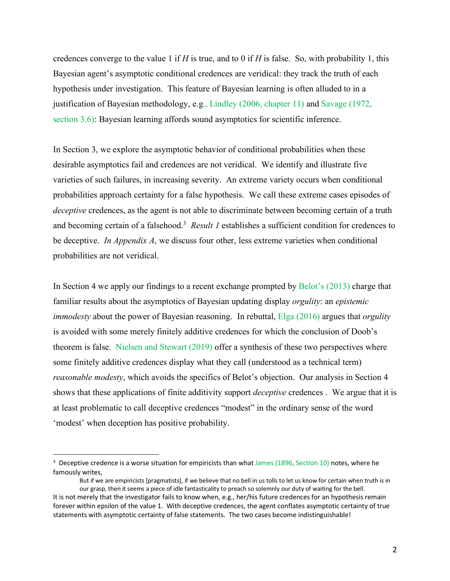credences converge to the value 1 if *H* is true, and to 0 if *H* is false. So, with probability 1, this Bayesian agent's asymptotic conditional credences are veridical: they track the truth of each hypothesis under investigation. This feature of Bayesian learning is often alluded to in a justification of Bayesian methodology, e.g., Lindley (2006, chapter 11) and Savage (1972, section 3.6): Bayesian learning affords sound asymptotics for scientific inference.

In Section 3, we explore the asymptotic behavior of conditional probabilities when these desirable asymptotics fail and credences are not veridical. We identify and illustrate five varieties of such failures, in increasing severity. An extreme variety occurs when conditional probabilities approach certainty for a false hypothesis. We call these extreme cases episodes of *deceptive* credences, as the agent is not able to discriminate between becoming certain of a truth and becoming certain of a falsehood.<sup>3</sup> Result 1 establishes a sufficient condition for credences to be deceptive. *In Appendix A*, we discuss four other, less extreme varieties when conditional probabilities are not veridical.

In Section 4 we apply our findings to a recent exchange prompted by Belot's (2013) charge that familiar results about the asymptotics of Bayesian updating display *orgulity*: an *epistemic immodesty* about the power of Bayesian reasoning. In rebuttal, Elga (2016) argues that *orgulity* is avoided with some merely finitely additive credences for which the conclusion of Doob's theorem is false. Nielsen and Stewart (2019) offer a synthesis of these two perspectives where some finitely additive credences display what they call (understood as a technical term) *reasonable modesty*, which avoids the specifics of Belot's objection. Our analysis in Section 4 shows that these applications of finite additivity support *deceptive* credences . We argue that it is at least problematic to call deceptive credences "modest" in the ordinary sense of the word 'modest' when deception has positive probability.

<sup>&</sup>lt;sup>3</sup> Deceptive credence is a worse situation for empiricists than what James (1896, Section 10) notes, where he famously writes,

But if we are empiricists [pragmatists], if we believe that no bell in us tolls to let us know for certain when truth is in our grasp, then it seems a piece of idle fantasticality to preach so solemnly our duty of waiting for the bell.

It is not merely that the investigator fails to know when, e.g., her/his future credences for an hypothesis remain forever within epsilon of the value 1. With deceptive credences, the agent conflates asymptotic certainty of true statements with asymptotic certainty of false statements. The two cases become indistinguishable!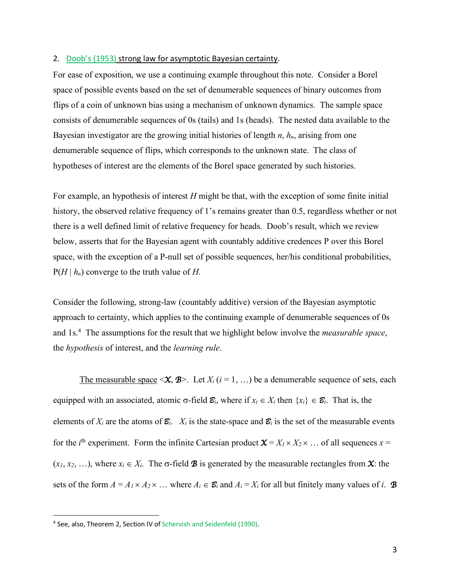### 2. Doob's (1953) strong law for asymptotic Bayesian certainty.

For ease of exposition, we use a continuing example throughout this note. Consider a Borel space of possible events based on the set of denumerable sequences of binary outcomes from flips of a coin of unknown bias using a mechanism of unknown dynamics. The sample space consists of denumerable sequences of 0s (tails) and 1s (heads). The nested data available to the Bayesian investigator are the growing initial histories of length *n*, *hn*, arising from one denumerable sequence of flips, which corresponds to the unknown state. The class of hypotheses of interest are the elements of the Borel space generated by such histories.

For example, an hypothesis of interest *H* might be that, with the exception of some finite initial history, the observed relative frequency of 1's remains greater than 0.5, regardless whether or not there is a well defined limit of relative frequency for heads. Doob's result, which we review below, asserts that for the Bayesian agent with countably additive credences P over this Borel space, with the exception of a P-null set of possible sequences, her/his conditional probabilities,  $P(H | h_n)$  converge to the truth value of *H*.

Consider the following, strong-law (countably additive) version of the Bayesian asymptotic approach to certainty, which applies to the continuing example of denumerable sequences of 0s and 1s. 4 The assumptions for the result that we highlight below involve the *measurable space*, the *hypothesis* of interest, and the *learning rule*.

The measurable space  $\langle X, \mathcal{B} \rangle$ . Let  $X_i$  ( $i = 1, \ldots$ ) be a denumerable sequence of sets, each equipped with an associated, atomic  $\sigma$ -field  $\mathcal{E}_i$ , where if  $x_i \in X_i$  then  $\{x_i\} \in \mathcal{E}_i$ . That is, the elements of  $X_i$  are the atoms of  $\mathcal{Z}_i$ .  $X_i$  is the state-space and  $\mathcal{Z}_i$  is the set of the measurable events for the *i*<sup>th</sup> experiment. Form the infinite Cartesian product  $\mathbf{X} = X_I \times X_2 \times ...$  of all sequences  $x =$  $(x_1, x_2, \ldots)$ , where  $x_i \in X_i$ . The  $\sigma$ -field **B** is generated by the measurable rectangles from **X**: the sets of the form  $A = A_1 \times A_2 \times ...$  where  $A_i \in \mathcal{E}_i$  and  $A_i = X_i$  for all but finitely many values of *i*. **B** 

<sup>4</sup> See, also, Theorem 2, Section IV of Schervish and Seidenfeld (1990).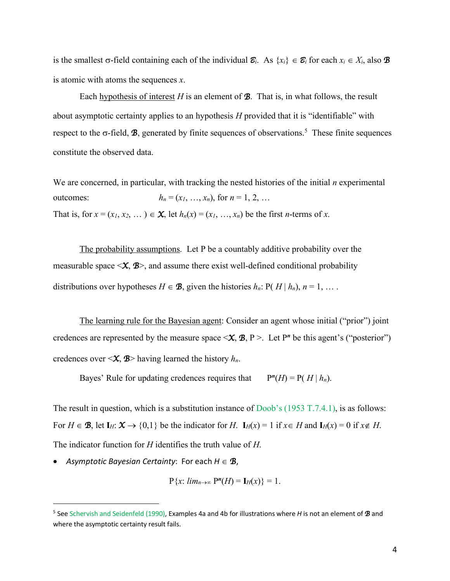is the smallest  $\sigma$ -field containing each of the individual  $\mathcal{E}_i$ . As  $\{x_i\} \in \mathcal{E}_i$  for each  $x_i \in X_i$ , also  $\mathcal{B}$ is atomic with atoms the sequences *x*.

Each hypothesis of interest  $H$  is an element of  $\mathcal{B}$ . That is, in what follows, the result about asymptotic certainty applies to an hypothesis *H* provided that it is "identifiable" with respect to the  $\sigma$ -field, **B**, generated by finite sequences of observations.<sup>5</sup> These finite sequences constitute the observed data.

We are concerned, in particular, with tracking the nested histories of the initial *n* experimental outcomes:  $h_n = (x_1, ..., x_n)$ , for  $n = 1, 2, ...$ That is, for  $x = (x_1, x_2, \dots) \in \mathbf{X}$ , let  $h_n(x) = (x_1, \dots, x_n)$  be the first *n*-terms of *x*.

The probability assumptions. Let P be a countably additive probability over the measurable space  $\langle X, \mathcal{B} \rangle$ , and assume there exist well-defined conditional probability distributions over hypotheses  $H \in \mathcal{B}$ , given the histories  $h_n$ : P(  $H | h_n$ ),  $n = 1, \ldots$ .

The learning rule for the Bayesian agent: Consider an agent whose initial ("prior") joint credences are represented by the measure space  $\langle X, \mathcal{B}, P \rangle$ . Let P<sup>n</sup> be this agent's ("posterior") credences over  $\langle X, \mathcal{B} \rangle$  having learned the history  $h_n$ .

Bayes' Rule for updating credences requires that  $P^{n}(H) = P(H | h_{n})$ .

The result in question, which is a substitution instance of Doob's (1953 T.7.4.1), is as follows: For  $H \in \mathcal{B}$ , let  $I_H: \mathcal{X} \to \{0,1\}$  be the indicator for *H*.  $I_H(x) = 1$  if  $x \in H$  and  $I_H(x) = 0$  if  $x \notin H$ . The indicator function for *H* identifies the truth value of *H*.

• Asymptotic Bayesian Certainty: For each  $H \in \mathcal{B}$ ,

$$
P\{x: \, lim_{n\to\infty} P^{n}(H)=I_{H}(x)\}=1.
$$

<sup>5</sup> See Schervish and Seidenfeld (1990), Examples 4a and 4b for illustrations where *H* is not an element of *B* and where the asymptotic certainty result fails.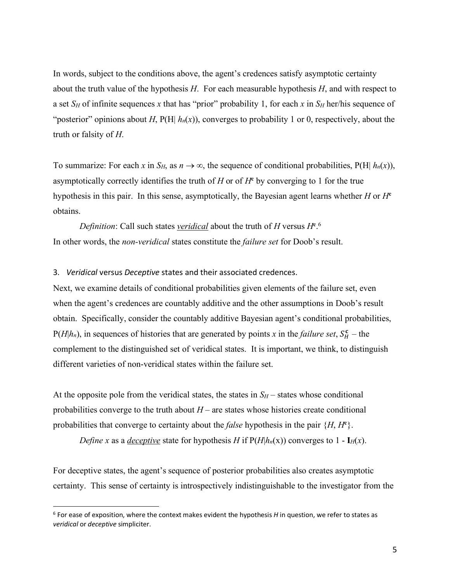In words, subject to the conditions above, the agent's credences satisfy asymptotic certainty about the truth value of the hypothesis *H*. For each measurable hypothesis *H*, and with respect to a set  $S_H$  of infinite sequences x that has "prior" probability 1, for each x in  $S_H$  her/his sequence of "posterior" opinions about *H*,  $P(H | h_n(x))$ , converges to probability 1 or 0, respectively, about the truth or falsity of *H*.

To summarize: For each *x* in  $S_H$ , as  $n \to \infty$ , the sequence of conditional probabilities, P(H|  $h_n(x)$ ), asymptotically correctly identifies the truth of *H* or of  $H<sup>c</sup>$  by converging to 1 for the true hypothesis in this pair. In this sense, asymptotically, the Bayesian agent learns whether *H* or *H***<sup>c</sup>** obtains.

*Definition*: Call such states *veridical* about the truth of *H* versus *H***<sup>c</sup>** . 6 In other words, the *non-veridical* states constitute the *failure set* for Doob's result.

3. *Veridical* versus *Deceptive* states and their associated credences.

Next, we examine details of conditional probabilities given elements of the failure set, even when the agent's credences are countably additive and the other assumptions in Doob's result obtain. Specifically, consider the countably additive Bayesian agent's conditional probabilities,  $P(H|h_n)$ , in sequences of histories that are generated by points *x* in the *failure set*,  $S_H^c$  – the complement to the distinguished set of veridical states. It is important, we think, to distinguish different varieties of non-veridical states within the failure set.

At the opposite pole from the veridical states, the states in  $S_H$  – states whose conditional probabilities converge to the truth about  $H$  – are states whose histories create conditional probabilities that converge to certainty about the *false* hypothesis in the pair {*H*, *H***<sup>c</sup>** }.

*Define x* as a *deceptive* state for hypothesis *H* if  $P(H|h_n(x))$  converges to 1 -  $I_H(x)$ .

For deceptive states, the agent's sequence of posterior probabilities also creates asymptotic certainty. This sense of certainty is introspectively indistinguishable to the investigator from the

<sup>6</sup> For ease of exposition, where the context makes evident the hypothesis *H* in question, we refer to states as *veridical* or *deceptive* simpliciter.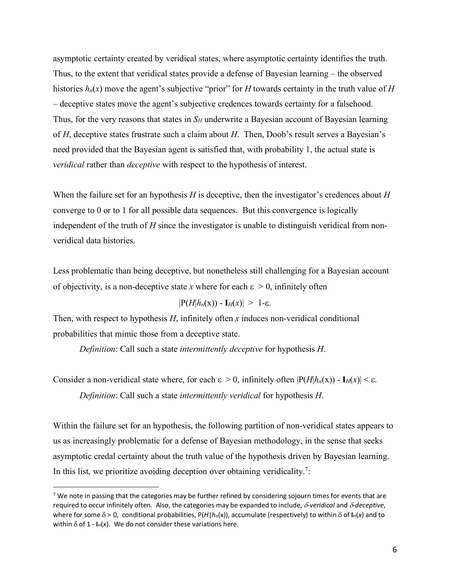asymptotic certainty created by veridical states, where asymptotic certainty identifies the truth. Thus, to the extent that veridical states provide a defense of Bayesian learning – the observed histories  $h_n(x)$  move the agent's subjective "prior" for *H* towards certainty in the truth value of *H* – deceptive states move the agent's subjective credences towards certainty for a falsehood. Thus, for the very reasons that states in *SH* underwrite a Bayesian account of Bayesian learning of *H*, deceptive states frustrate such a claim about *H*. Then, Doob's result serves a Bayesian's need provided that the Bayesian agent is satisfied that, with probability 1, the actual state is *veridical* rather than *deceptive* with respect to the hypothesis of interest.

When the failure set for an hypothesis *H* is deceptive, then the investigator's credences about *H* converge to 0 or to 1 for all possible data sequences. But this convergence is logically independent of the truth of *H* since the investigator is unable to distinguish veridical from nonveridical data histories.

Less problematic than being deceptive, but nonetheless still challenging for a Bayesian account of objectivity, is a non-deceptive state *x* where for each  $\varepsilon > 0$ , infinitely often

$$
|\mathbf{P}(H|h_n(\mathbf{x})) - \mathbf{I}_H(\mathbf{x})| > 1-\varepsilon.
$$

Then, with respect to hypothesis *H*, infinitely often *x* induces non-veridical conditional probabilities that mimic those from a deceptive state.

*Definition*: Call such a state *intermittently deceptive* for hypothesis *H*.

Consider a non-veridical state where, for each  $\varepsilon > 0$ , infinitely often  $|P(H|h_n(x)) - I_H(x)| < \varepsilon$ .

*Definition*: Call such a state *intermittently veridical* for hypothesis *H*.

1

Within the failure set for an hypothesis, the following partition of non-veridical states appears to us as increasingly problematic for a defense of Bayesian methodology, in the sense that seeks asymptotic credal certainty about the truth value of the hypothesis driven by Bayesian learning. In this list, we prioritize avoiding deception over obtaining veridicality.<sup>7</sup>:

 $7$  We note in passing that the categories may be further refined by considering sojourn times for events that are required to occur infinitely often. Also, the categories may be expanded to include,  $\delta$ -veridical and  $\delta$ -deceptive, where for some  $\delta > 0$ , conditional probabilities,  $P(H|h_n(x))$ , accumulate (respectively) to within  $\delta$  of  $I_H(x)$  and to within  $\delta$  of 1 -  $I_H(x)$ . We do not consider these variations here.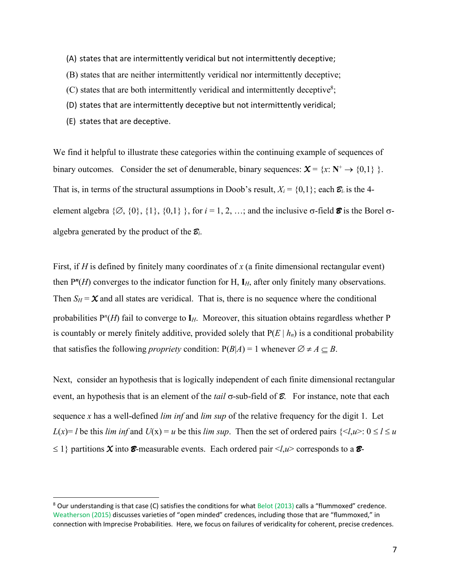- (A) states that are intermittently veridical but not intermittently deceptive;
- (B) states that are neither intermittently veridical nor intermittently deceptive;
- $(C)$  states that are both intermittently veridical and intermittently deceptive<sup>8</sup>;
- (D) states that are intermittently deceptive but not intermittently veridical;
- (E) states that are deceptive.

1

We find it helpful to illustrate these categories within the continuing example of sequences of binary outcomes. Consider the set of denumerable, binary sequences:  $\mathbf{X} = \{x : \mathbf{N}^+ \to \{0,1\} \}$ . That is, in terms of the structural assumptions in Doob's result,  $X_i = \{0,1\}$ ; each  $\mathcal{E}_i$  is the 4element algebra  $\{\emptyset, \{0\}, \{1\}, \{0,1\}\}$ , for  $i = 1, 2, ...$ ; and the inclusive  $\sigma$ -field  $\emptyset$  is the Borel  $\sigma$ algebra generated by the product of the *Bi*.

First, if *H* is defined by finitely many coordinates of *x* (a finite dimensional rectangular event) then P*<sup>n</sup>*(*H*) converges to the indicator function for H, **I***H*, after only finitely many observations. Then  $S_H = \mathbf{X}$  and all states are veridical. That is, there is no sequence where the conditional probabilities P*<sup>n</sup>* (*H*) fail to converge to **I***H*. Moreover, this situation obtains regardless whether P is countably or merely finitely additive, provided solely that  $P(E | h_n)$  is a conditional probability that satisfies the following *propriety* condition:  $P(B|A) = 1$  whenever  $\emptyset \neq A \subset B$ .

Next, consider an hypothesis that is logically independent of each finite dimensional rectangular event, an hypothesis that is an element of the *tail*  $\sigma$ -sub-field of  $\mathcal{E}$ . For instance, note that each sequence *x* has a well-defined *lim inf* and *lim sup* of the relative frequency for the digit 1. Let *L*(*x*)= *l* be this *lim inf* and *U*(*x*) = *u* be this *lim sup*. Then the set of ordered pairs  $\{*l*, *u*>*u l u u u u u u u u u u u u u*$  $\leq$  1} partitions *X* into *B*-measurable events. Each ordered pair  $\lt l, u$  corresponds to a *B*-

<sup>8</sup> Our understanding is that case (C) satisfies the conditions for what Belot (2013) calls a "flummoxed" credence. Weatherson (2015) discusses varieties of "open minded" credences, including those that are "flummoxed," in connection with Imprecise Probabilities. Here, we focus on failures of veridicality for coherent, precise credences.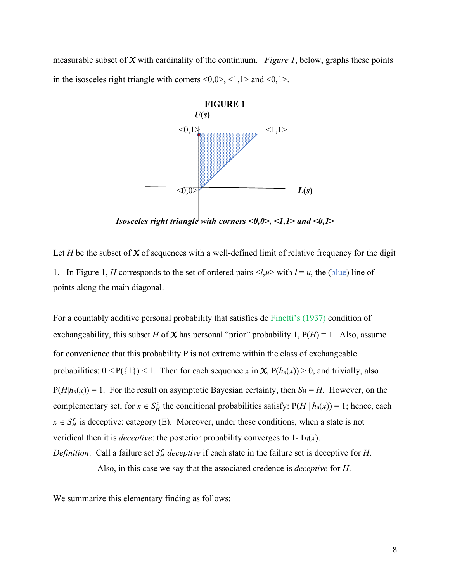measurable subset of *X* with cardinality of the continuum. *Figure 1*, below, graphs these points in the isosceles right triangle with corners  $\leq 0, 0$ ,  $\leq 1, 1$  and  $\leq 0, 1$ .



*Isosceles right triangle with corners <0,0>, <1,1> and <0,1>*

Let *H* be the subset of  $X$  of sequences with a well-defined limit of relative frequency for the digit 1. In Figure 1, *H* corresponds to the set of ordered pairs  $\langle l, u \rangle$  with  $l = u$ , the (blue) line of points along the main diagonal.

For a countably additive personal probability that satisfies de Finetti's (1937) condition of exchangeability, this subset *H* of **X** has personal "prior" probability 1,  $P(H) = 1$ . Also, assume for convenience that this probability P is not extreme within the class of exchangeable probabilities:  $0 < P({1}) < 1$ . Then for each sequence *x* in *X*,  $P(h_n(x)) > 0$ , and trivially, also  $P(H|h_n(x)) = 1$ . For the result on asymptotic Bayesian certainty, then  $S_H = H$ . However, on the complementary set, for  $x \in S_H^c$  the conditional probabilities satisfy:  $P(H | h_n(x)) = 1$ ; hence, each  $x \in S_H^c$  is deceptive: category (E). Moreover, under these conditions, when a state is not veridical then it is *deceptive*: the posterior probability converges to  $1 - I_H(x)$ . *Definition*: Call a failure set  $S_H^c$  *deceptive* if each state in the failure set is deceptive for *H*. Also, in this case we say that the associated credence is *deceptive* for *H*.

We summarize this elementary finding as follows: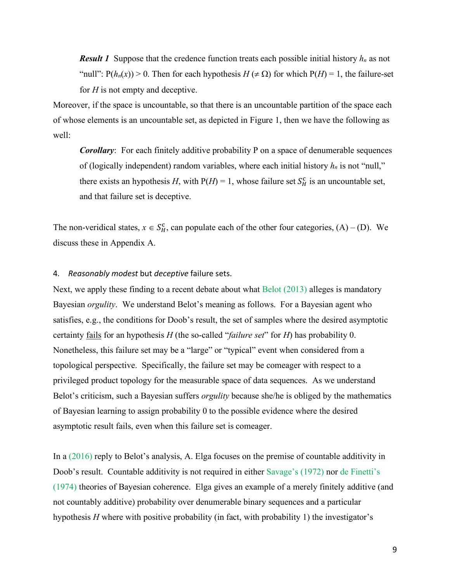*Result 1* Suppose that the credence function treats each possible initial history *hn* as not "null":  $P(h_n(x)) > 0$ . Then for each hypothesis  $H(\neq \Omega)$  for which  $P(H) = 1$ , the failure-set for *H* is not empty and deceptive.

Moreover, if the space is uncountable, so that there is an uncountable partition of the space each of whose elements is an uncountable set, as depicted in Figure 1, then we have the following as well:

*Corollary*: For each finitely additive probability P on a space of denumerable sequences of (logically independent) random variables, where each initial history  $h_n$  is not "null," there exists an hypothesis *H*, with  $P(H) = 1$ , whose failure set  $S_H^c$  is an uncountable set, and that failure set is deceptive.

The non-veridical states,  $x \in S_H^c$ , can populate each of the other four categories,  $(A) - (D)$ . We discuss these in Appendix A.

#### 4. *Reasonably modest* but *deceptive* failure sets.

Next, we apply these finding to a recent debate about what Belot (2013) alleges is mandatory Bayesian *orgulity*. We understand Belot's meaning as follows. For a Bayesian agent who satisfies, e.g., the conditions for Doob's result, the set of samples where the desired asymptotic certainty fails for an hypothesis *H* (the so-called "*failure set*" for *H*) has probability 0. Nonetheless, this failure set may be a "large" or "typical" event when considered from a topological perspective. Specifically, the failure set may be comeager with respect to a privileged product topology for the measurable space of data sequences. As we understand Belot's criticism, such a Bayesian suffers *orgulity* because she/he is obliged by the mathematics of Bayesian learning to assign probability 0 to the possible evidence where the desired asymptotic result fails, even when this failure set is comeager.

In a (2016) reply to Belot's analysis, A. Elga focuses on the premise of countable additivity in Doob's result. Countable additivity is not required in either Savage's (1972) nor de Finetti's (1974) theories of Bayesian coherence. Elga gives an example of a merely finitely additive (and not countably additive) probability over denumerable binary sequences and a particular hypothesis *H* where with positive probability (in fact, with probability 1) the investigator's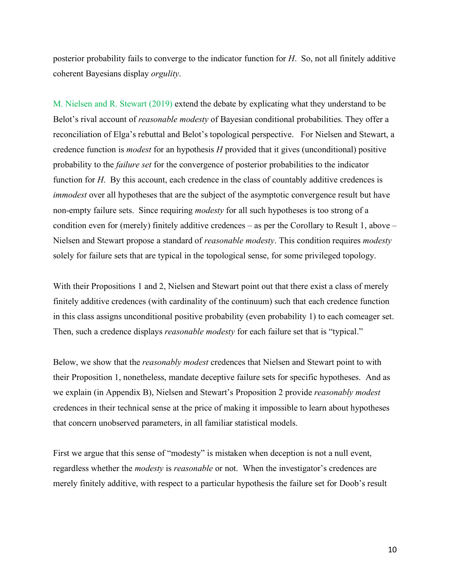posterior probability fails to converge to the indicator function for *H*. So, not all finitely additive coherent Bayesians display *orgulity*.

M. Nielsen and R. Stewart (2019) extend the debate by explicating what they understand to be Belot's rival account of *reasonable modesty* of Bayesian conditional probabilities. They offer a reconciliation of Elga's rebuttal and Belot's topological perspective. For Nielsen and Stewart, a credence function is *modest* for an hypothesis *H* provided that it gives (unconditional) positive probability to the *failure set* for the convergence of posterior probabilities to the indicator function for *H*. By this account, each credence in the class of countably additive credences is *immodest* over all hypotheses that are the subject of the asymptotic convergence result but have non-empty failure sets. Since requiring *modesty* for all such hypotheses is too strong of a condition even for (merely) finitely additive credences – as per the Corollary to Result 1, above – Nielsen and Stewart propose a standard of *reasonable modesty*. This condition requires *modesty* solely for failure sets that are typical in the topological sense, for some privileged topology.

With their Propositions 1 and 2, Nielsen and Stewart point out that there exist a class of merely finitely additive credences (with cardinality of the continuum) such that each credence function in this class assigns unconditional positive probability (even probability 1) to each comeager set. Then, such a credence displays *reasonable modesty* for each failure set that is "typical."

Below, we show that the *reasonably modest* credences that Nielsen and Stewart point to with their Proposition 1, nonetheless, mandate deceptive failure sets for specific hypotheses. And as we explain (in Appendix B), Nielsen and Stewart's Proposition 2 provide *reasonably modest* credences in their technical sense at the price of making it impossible to learn about hypotheses that concern unobserved parameters, in all familiar statistical models.

First we argue that this sense of "modesty" is mistaken when deception is not a null event, regardless whether the *modesty* is *reasonable* or not. When the investigator's credences are merely finitely additive, with respect to a particular hypothesis the failure set for Doob's result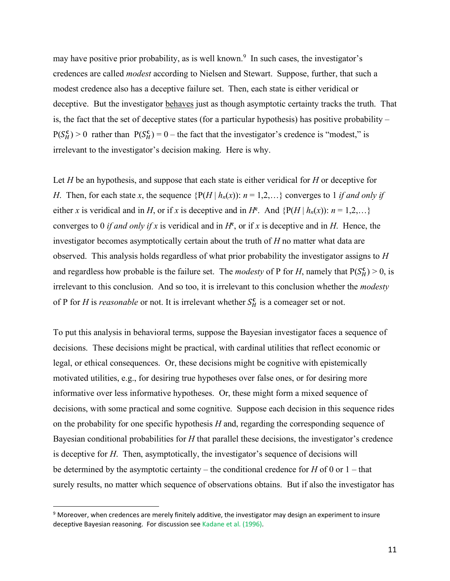may have positive prior probability, as is well known.<sup>9</sup> In such cases, the investigator's credences are called *modest* according to Nielsen and Stewart. Suppose, further, that such a modest credence also has a deceptive failure set. Then, each state is either veridical or deceptive. But the investigator **behaves** just as though asymptotic certainty tracks the truth. That is, the fact that the set of deceptive states (for a particular hypothesis) has positive probability  $P(S_H^c) > 0$  rather than  $P(S_H^c) = 0$  – the fact that the investigator's credence is "modest," is irrelevant to the investigator's decision making. Here is why.

Let *H* be an hypothesis, and suppose that each state is either veridical for *H* or deceptive for *H*. Then, for each state *x*, the sequence  $\{P(H \mid h_n(x))\colon n = 1,2,...\}$  converges to 1 *if and only if* either *x* is veridical and in *H*, or if *x* is deceptive and in *H*<sup>c</sup>. And { $P(H | h_n(x))$ :  $n = 1,2,...$ } converges to 0 *if and only if*  $x$  is veridical and in  $H^c$ , or if  $x$  is deceptive and in  $H$ . Hence, the investigator becomes asymptotically certain about the truth of *H* no matter what data are observed. This analysis holds regardless of what prior probability the investigator assigns to *H* and regardless how probable is the failure set. The *modesty* of P for *H*, namely that  $P(S_H^c) > 0$ , is irrelevant to this conclusion. And so too, it is irrelevant to this conclusion whether the *modesty* of P for *H* is *reasonable* or not. It is irrelevant whether  $S_H^c$  is a comeager set or not.

To put this analysis in behavioral terms, suppose the Bayesian investigator faces a sequence of decisions. These decisions might be practical, with cardinal utilities that reflect economic or legal, or ethical consequences. Or, these decisions might be cognitive with epistemically motivated utilities, e.g., for desiring true hypotheses over false ones, or for desiring more informative over less informative hypotheses. Or, these might form a mixed sequence of decisions, with some practical and some cognitive. Suppose each decision in this sequence rides on the probability for one specific hypothesis *H* and, regarding the corresponding sequence of Bayesian conditional probabilities for *H* that parallel these decisions, the investigator's credence is deceptive for *H*. Then, asymptotically, the investigator's sequence of decisions will be determined by the asymptotic certainty – the conditional credence for *H* of 0 or 1 – that surely results, no matter which sequence of observations obtains. But if also the investigator has

<sup>9</sup> Moreover, when credences are merely finitely additive, the investigator may design an experiment to insure deceptive Bayesian reasoning. For discussion see Kadane et al. (1996).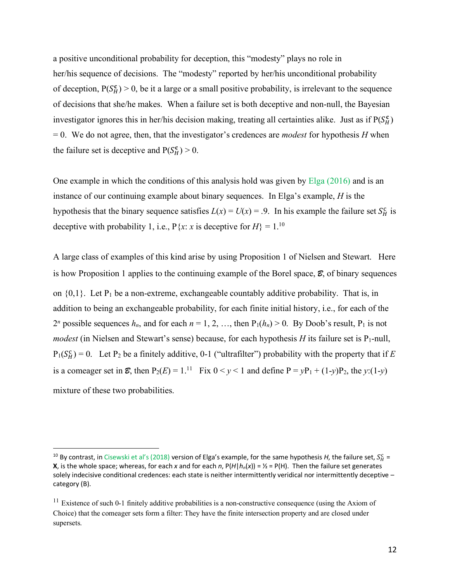a positive unconditional probability for deception, this "modesty" plays no role in her/his sequence of decisions. The "modesty" reported by her/his unconditional probability of deception,  $P(S_H^c) > 0$ , be it a large or a small positive probability, is irrelevant to the sequence of decisions that she/he makes. When a failure set is both deceptive and non-null, the Bayesian investigator ignores this in her/his decision making, treating all certainties alike. Just as if  $P(S_H^c)$ = 0. We do not agree, then, that the investigator's credences are *modest* for hypothesis *H* when the failure set is deceptive and  $P(S_H^c) > 0$ .

One example in which the conditions of this analysis hold was given by Elga (2016) and is an instance of our continuing example about binary sequences. In Elga's example, *H* is the hypothesis that the binary sequence satisfies  $L(x) = U(x) = .9$ . In his example the failure set  $S_H^c$  is deceptive with probability 1, i.e.,  $P\{x: x \text{ is } \text{deceptive} \text{ for } H\} = 1.10$ 

A large class of examples of this kind arise by using Proposition 1 of Nielsen and Stewart. Here is how Proposition 1 applies to the continuing example of the Borel space, *B*, of binary sequences on  $\{0,1\}$ . Let P<sub>1</sub> be a non-extreme, exchangeable countably additive probability. That is, in addition to being an exchangeable probability, for each finite initial history, i.e., for each of the 2<sup>n</sup> possible sequences  $h_n$ , and for each  $n = 1, 2, \ldots$ , then  $P_1(h_n) > 0$ . By Doob's result,  $P_1$  is not *modest* (in Nielsen and Stewart's sense) because, for each hypothesis  $H$  its failure set is P<sub>1</sub>-null,  $P_1(S_H^c) = 0$ . Let  $P_2$  be a finitely additive, 0-1 ("ultrafilter") probability with the property that if E is a comeager set in  $\mathcal{E}$ , then  $P_2(E) = 1$ .<sup>11</sup> Fix  $0 \le y \le 1$  and define  $P = yP_1 + (1-y)P_2$ , the  $y:(1-y)$ mixture of these two probabilities.

<sup>&</sup>lt;sup>10</sup> By contrast, in Cisewski et al's (2018) version of Elga's example, for the same hypothesis H, the failure set,  $S_H^c$  = **X**, is the whole space; whereas, for each *x* and for each *n*,  $P(H|h_n(x)) = Y_2 = P(H)$ . Then the failure set generates solely indecisive conditional credences: each state is neither intermittently veridical nor intermittently deceptive – category (B).

 $11$  Existence of such 0-1 finitely additive probabilities is a non-constructive consequence (using the Axiom of Choice) that the comeager sets form a filter: They have the finite intersection property and are closed under supersets.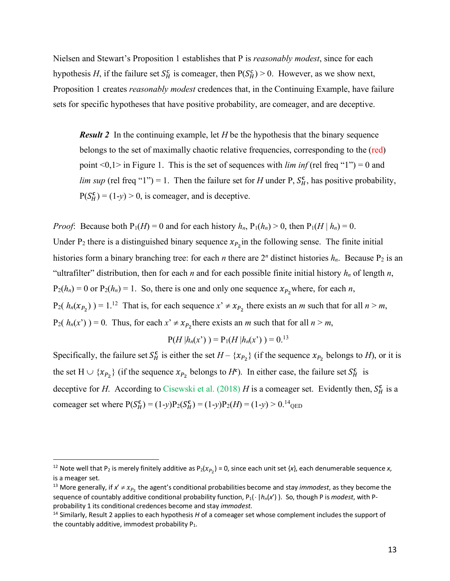Nielsen and Stewart's Proposition 1 establishes that P is *reasonably modest*, since for each hypothesis *H*, if the failure set  $S_H^c$  is comeager, then  $P(S_H^c) > 0$ . However, as we show next, Proposition 1 creates *reasonably modest* credences that, in the Continuing Example, have failure sets for specific hypotheses that have positive probability, are comeager, and are deceptive.

*Result 2* In the continuing example, let *H* be the hypothesis that the binary sequence belongs to the set of maximally chaotic relative frequencies, corresponding to the (red) point <0,1> in Figure 1. This is the set of sequences with *lim inf* (rel freq "1") = 0 and *lim sup* (rel freq "1") = 1. Then the failure set for *H* under P,  $S_H^c$ , has positive probability,  $P(S_H^c) = (1-y) > 0$ , is comeager, and is deceptive.

*Proof*: Because both  $P_1(H) = 0$  and for each history  $h_n$ ,  $P_1(h_n) > 0$ , then  $P_1(H \mid h_n) = 0$ . Under  $P_2$  there is a distinguished binary sequence  $x_{P_2}$  in the following sense. The finite initial histories form a binary branching tree: for each *n* there are  $2^n$  distinct histories  $h_n$ . Because  $P_2$  is an "ultrafilter" distribution, then for each *n* and for each possible finite initial history  $h_n$  of length *n*,  $P_2(h_n) = 0$  or  $P_2(h_n) = 1$ . So, there is one and only one sequence  $x_{P_2}$  where, for each *n*,  $P_2(h_n(x_{P_2})) = 1.12$  That is, for each sequence  $x' \neq x_{P_2}$  there exists an *m* such that for all  $n > m$ ,  $P_2(h_n(x^r)) = 0$ . Thus, for each  $x^r \neq x_{P_2}$  there exists an *m* such that for all  $n > m$ ,

$$
P(H|h_n(x^*)) = P_1(H|h_n(x^*)) = 0^{13}
$$

Specifically, the failure set  $S_H^c$  is either the set  $H - \{x_{P_2}\}\$  (if the sequence  $x_{P_2}$  belongs to *H*), or it is the set  $H \cup \{x_{P_2}\}\$  (if the sequence  $x_{P_2}$  belongs to  $H^c$ ). In either case, the failure set  $S_H^c$  is deceptive for *H*. According to Cisewski et al. (2018) *H* is a comeager set. Evidently then,  $S_H^c$  is a comeager set where  $P(S_H^c) = (1-y)P_2(S_H^c) = (1-y)P_2(H) = (1-y) > 0.14_{QED}$ 

<sup>&</sup>lt;sup>12</sup> Note well that P<sub>2</sub> is merely finitely additive as P<sub>2</sub>( $x_{P_2}$ ) = 0, since each unit set {*x*}, each denumerable sequence *x*, is a meager set.

<sup>&</sup>lt;sup>13</sup> More generally, if  $x' \neq x_{P_2}$  the agent's conditional probabilities become and stay *immodest*, as they become the sequence of countably additive conditional probability function,  $P_1(\cdot | h_n(x'))$ . So, though P is *modest*, with Pprobability 1 its conditional credences become and stay *immodest*.<br><sup>14</sup> Similarly, Result 2 applies to each hypothesis *H* of a comeager set whose complement includes the support of

the countably additive, immodest probability  $P_1$ .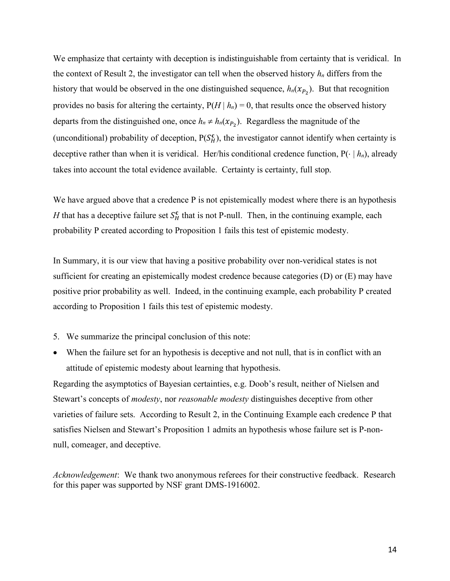We emphasize that certainty with deception is indistinguishable from certainty that is veridical. In the context of Result 2, the investigator can tell when the observed history *hn* differs from the history that would be observed in the one distinguished sequence,  $h_n(x_{P_2})$ . But that recognition provides no basis for altering the certainty,  $P(H | h_n) = 0$ , that results once the observed history departs from the distinguished one, once  $h_n \neq h_n(x_{P_2})$ . Regardless the magnitude of the (unconditional) probability of deception,  $P(S_H^c)$ , the investigator cannot identify when certainty is deceptive rather than when it is veridical. Her/his conditional credence function,  $P(\cdot | h_n)$ , already takes into account the total evidence available. Certainty is certainty, full stop.

We have argued above that a credence P is not epistemically modest where there is an hypothesis *H* that has a deceptive failure set  $S_H^c$  that is not P-null. Then, in the continuing example, each probability P created according to Proposition 1 fails this test of epistemic modesty.

In Summary, it is our view that having a positive probability over non-veridical states is not sufficient for creating an epistemically modest credence because categories (D) or (E) may have positive prior probability as well. Indeed, in the continuing example, each probability P created according to Proposition 1 fails this test of epistemic modesty.

- 5. We summarize the principal conclusion of this note:
- When the failure set for an hypothesis is deceptive and not null, that is in conflict with an attitude of epistemic modesty about learning that hypothesis.

Regarding the asymptotics of Bayesian certainties, e.g. Doob's result, neither of Nielsen and Stewart's concepts of *modesty*, nor *reasonable modesty* distinguishes deceptive from other varieties of failure sets. According to Result 2, in the Continuing Example each credence P that satisfies Nielsen and Stewart's Proposition 1 admits an hypothesis whose failure set is P-nonnull, comeager, and deceptive.

*Acknowledgement*: We thank two anonymous referees for their constructive feedback. Research for this paper was supported by NSF grant DMS-1916002.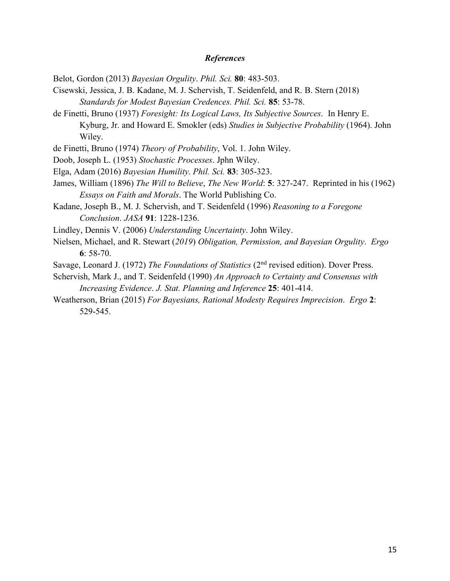## *References*

Belot, Gordon (2013) *Bayesian Orgulity*. *Phil. Sci.* **80**: 483-503.

- Cisewski, Jessica, J. B. Kadane, M. J. Schervish, T. Seidenfeld, and R. B. Stern (2018) *Standards for Modest Bayesian Credences. Phil. Sci.* **85**: 53-78.
- de Finetti, Bruno (1937) *Foresight: Its Logical Laws, Its Subjective Sources*. In Henry E. Kyburg, Jr. and Howard E. Smokler (eds) *Studies in Subjective Probability* (1964). John Wiley.
- de Finetti, Bruno (1974) *Theory of Probability*, Vol. 1. John Wiley.
- Doob, Joseph L. (1953) *Stochastic Processes*. Jphn Wiley.
- Elga, Adam (2016) *Bayesian Humility*. *Phil. Sci.* **83**: 305-323.
- James, William (1896) *The Will to Believe*, *The New World*: **5**: 327-247. Reprinted in his (1962) *Essays on Faith and Morals*. The World Publishing Co.
- Kadane, Joseph B., M. J. Schervish, and T. Seidenfeld (1996) *Reasoning to a Foregone Conclusion*. *JASA* **91**: 1228-1236.

Lindley, Dennis V. (2006) *Understanding Uncertainty*. John Wiley.

- Nielsen, Michael, and R. Stewart (*2019*) *Obligation, Permission, and Bayesian Orgulity*. *Ergo* **6**: 58-70.
- Savage, Leonard J. (1972) *The Foundations of Statistics* (2nd revised edition). Dover Press.
- Schervish, Mark J., and T. Seidenfeld (1990) *An Approach to Certainty and Consensus with Increasing Evidence*. *J. Stat. Planning and Inference* **25**: 401-414.
- Weatherson, Brian (2015) *For Bayesians, Rational Modesty Requires Imprecision*. *Ergo* **2**: 529-545.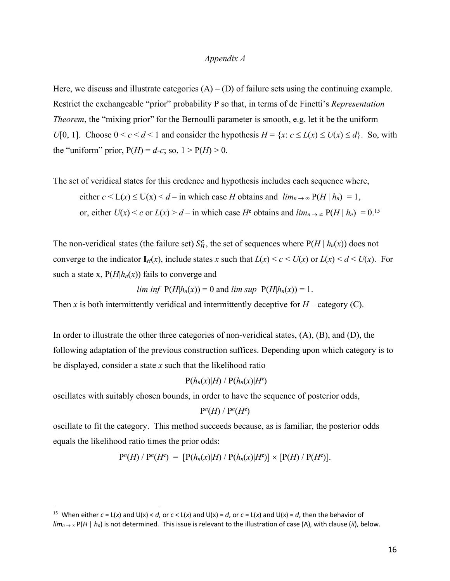### *Appendix A*

Here, we discuss and illustrate categories  $(A) - (D)$  of failure sets using the continuing example. Restrict the exchangeable "prior" probability P so that, in terms of de Finetti's *Representation Theorem*, the "mixing prior" for the Bernoulli parameter is smooth, e.g. let it be the uniform *U*[0, 1]. Choose  $0 \le c \le d \le 1$  and consider the hypothesis  $H = \{x : c \le L(x) \le U(x) \le d\}$ . So, with the "uniform" prior,  $P(H) = d-c$ ; so,  $1 > P(H) > 0$ .

The set of veridical states for this credence and hypothesis includes each sequence where,

either  $c < L(x) \le U(x) < d$  – in which case *H* obtains and  $\lim_{n \to \infty} P(H \mid h_n) = 1$ , or, either  $U(x) < c$  or  $L(x) > d$  – in which case  $H^c$  obtains and  $\lim_{n \to \infty} P(H \mid h_n) = 0$ .<sup>15</sup>

The non-veridical states (the failure set)  $S_H^c$ , the set of sequences where  $P(H | h_n(x))$  does not converge to the indicator  $I_H(x)$ , include states *x* such that  $L(x) \le c \le U(x)$  or  $L(x) \le d \le U(x)$ . For such a state x,  $P(H|h_n(x))$  fails to converge and

*lim inf*  $P(H|h_n(x)) = 0$  and *lim sup*  $P(H|h_n(x)) = 1$ .

Then *x* is both intermittently veridical and intermittently deceptive for  $H$  – category (C).

In order to illustrate the other three categories of non-veridical states, (A), (B), and (D), the following adaptation of the previous construction suffices. Depending upon which category is to be displayed, consider a state *x* such that the likelihood ratio

 $P(h_n(x)|H) / P(h_n(x)|H^c)$ 

oscillates with suitably chosen bounds, in order to have the sequence of posterior odds,

$$
\mathbf{P}^n(H) / \mathbf{P}^n(H^c)
$$

oscillate to fit the category. This method succeeds because, as is familiar, the posterior odds equals the likelihood ratio times the prior odds:

$$
P^{n}(H) / P^{n}(H^{c}) = [P(h_{n}(x)|H) / P(h_{n}(x)|H^{c})] \times [P(H) / P(H^{c})].
$$

<sup>&</sup>lt;sup>15</sup> When either  $c = L(x)$  and  $U(x) < d$ , or  $c < L(x)$  and  $U(x) = d$ , or  $c = L(x)$  and  $U(x) = d$ , then the behavior of  $\lim_{n\to\infty}$  P(*H* | *h<sub>n</sub>*) is not determined. This issue is relevant to the illustration of case (A), with clause (*ii*), below.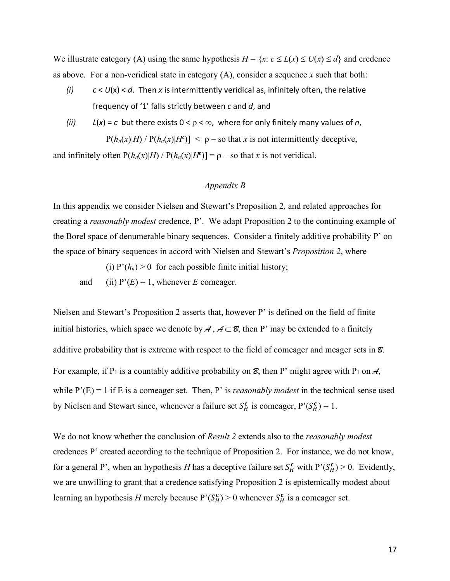We illustrate category (A) using the same hypothesis  $H = \{x: c \le L(x) \le U(x) \le d\}$  and credence as above. For a non-veridical state in category (A), consider a sequence *x* such that both:

- *(i) c* < *U*(x) < *d*. Then *x* is intermittently veridical as, infinitely often, the relative frequency of '1' falls strictly between *c* and *d*, and
- *(ii)*  $L(x) = c$  but there exists  $0 < \rho < \infty$ , where for only finitely many values of *n*,  $P(h_n(x)|H) / P(h_n(x)|H^c)$  | < p – so that *x* is not intermittently deceptive,

and infinitely often  $P(h_n(x)|H) / P(h_n(x)|H^c) = \rho - \text{so that } x \text{ is not vertical.}$ 

# *Appendix B*

In this appendix we consider Nielsen and Stewart's Proposition 2, and related approaches for creating a *reasonably modest* credence, P'. We adapt Proposition 2 to the continuing example of the Borel space of denumerable binary sequences. Consider a finitely additive probability P' on the space of binary sequences in accord with Nielsen and Stewart's *Proposition 2*, where

(i)  $P'(h_n) > 0$  for each possible finite initial history;

and (ii)  $P'(E) = 1$ , whenever *E* comeager.

Nielsen and Stewart's Proposition 2 asserts that, however P' is defined on the field of finite initial histories, which space we denote by  $A, A \subset \mathcal{E}$ , then P' may be extended to a finitely additive probability that is extreme with respect to the field of comeager and meager sets in *B*. For example, if P<sub>1</sub> is a countably additive probability on  $\mathcal{E}$ , then P' might agree with P<sub>1</sub> on  $\mathcal{A}$ , while  $P'(E) = 1$  if E is a comeager set. Then, P' is *reasonably modest* in the technical sense used by Nielsen and Stewart since, whenever a failure set  $S_H^c$  is comeager,  $P'(S_H^c) = 1$ .

We do not know whether the conclusion of *Result 2* extends also to the *reasonably modest* credences P' created according to the technique of Proposition 2. For instance, we do not know, for a general P', when an hypothesis *H* has a deceptive failure set  $S_H^c$  with  $P'(S_H^c) > 0$ . Evidently, we are unwilling to grant that a credence satisfying Proposition 2 is epistemically modest about learning an hypothesis *H* merely because  $P'(S_H^c) > 0$  whenever  $S_H^c$  is a comeager set.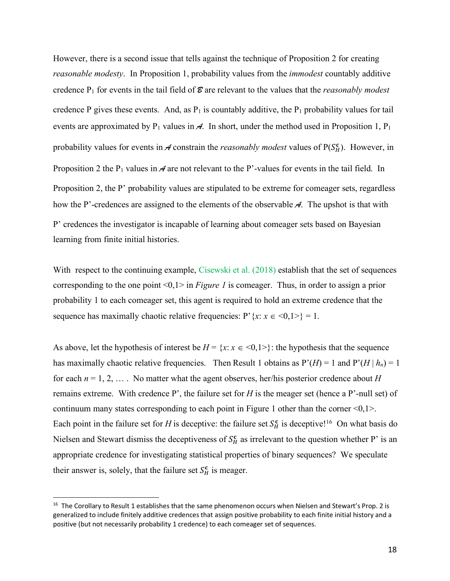However, there is a second issue that tells against the technique of Proposition 2 for creating *reasonable modesty*. In Proposition 1, probability values from the *immodest* countably additive credence  $P_1$  for events in the tail field of  $\mathcal{E}$  are relevant to the values that the *reasonably modest* credence P gives these events. And, as  $P_1$  is countably additive, the  $P_1$  probability values for tail events are approximated by  $P_1$  values in  $\mathcal{A}$ . In short, under the method used in Proposition 1,  $P_1$ probability values for events in  $\mathcal A$  constrain the *reasonably modest* values of  $P(S_H^c)$ . However, in Proposition 2 the P<sub>1</sub> values in *A* are not relevant to the P'-values for events in the tail field. In Proposition 2, the P' probability values are stipulated to be extreme for comeager sets, regardless how the P'-credences are assigned to the elements of the observable *A*. The upshot is that with P' credences the investigator is incapable of learning about comeager sets based on Bayesian learning from finite initial histories.

With respect to the continuing example, Cisewski et al. (2018) establish that the set of sequences corresponding to the one point <0,1> in *Figure 1* is comeager. Thus, in order to assign a prior probability 1 to each comeager set, this agent is required to hold an extreme credence that the sequence has maximally chaotic relative frequencies:  $P' {x : x \in \{0, 1\} = 1}$ .

As above, let the hypothesis of interest be  $H = \{x : x \in \{0, 1\} \}$ : the hypothesis that the sequence has maximally chaotic relative frequencies. Then Result 1 obtains as  $P'(H) = 1$  and  $P'(H | h_n) = 1$ for each  $n = 1, 2, \ldots$ . No matter what the agent observes, her/his posterior credence about *H* remains extreme. With credence P', the failure set for *H* is the meager set (hence a P'-null set) of continuum many states corresponding to each point in Figure 1 other than the corner  $\langle 0,1 \rangle$ . Each point in the failure set for *H* is deceptive: the failure set  $S_H^c$  is deceptive!<sup>16</sup> On what basis do Nielsen and Stewart dismiss the deceptiveness of  $S_H^c$  as irrelevant to the question whether P' is an appropriate credence for investigating statistical properties of binary sequences? We speculate their answer is, solely, that the failure set  $S_H^c$  is meager.

<sup>&</sup>lt;sup>16</sup> The Corollary to Result 1 establishes that the same phenomenon occurs when Nielsen and Stewart's Prop. 2 is generalized to include finitely additive credences that assign positive probability to each finite initial history and a positive (but not necessarily probability 1 credence) to each comeager set of sequences.